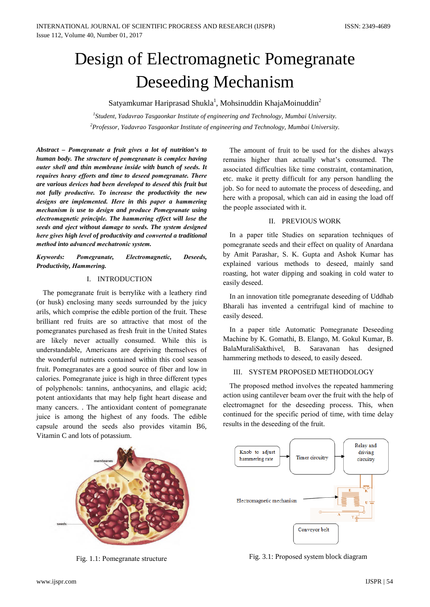# Design of Electromagnetic Pomegranate **Deseeding Mechanism**

Satyamkumar Hariprasad Shukla<sup>1</sup>, Mohsinuddin KhajaMoinuddin<sup>2</sup>

 ${}^{1}$ Student, Yadavrao Tasgaonkar Institute of engineering and Technology, Mumbai University.  $\alpha$ <sup>2</sup>Professor, Yadavrao Tasgaonkar Institute of engineering and Technology, Mumbai University.

Abstract - Pomegranate a fruit gives a lot of nutrition's to human body. The structure of pomegranate is complex having outer shell and thin membrane inside with bunch of seeds. It requires heavy efforts and time to deseed pomegranate. There are various devices had been developed to deseed this fruit but not fully productive. To increase the productivity the new designs are implemented. Here in this paper a hammering mechanism is use to design and produce Pomegranate using electromagnetic principle. The hammering effect will lose the seeds and eject without damage to seeds. The system designed here gives high level of productivity and converted a traditional method into advanced mechatronic system.

#### Keywords: Pomegranate, Electromagnetic, Deseeds. Productivity, Hammering.

# I. INTRODUCTION

The pomegranate fruit is berrylike with a leathery rind (or husk) enclosing many seeds surrounded by the juicy arils, which comprise the edible portion of the fruit. These brilliant red fruits are so attractive that most of the pomegranates purchased as fresh fruit in the United States are likely never actually consumed. While this is understandable, Americans are depriving themselves of the wonderful nutrients contained within this cool season fruit. Pomegranates are a good source of fiber and low in calories. Pomegranate juice is high in three different types of polyphenols: tannins, anthocyanins, and ellagic acid; potent antioxidants that may help fight heart disease and many cancers. The antioxidant content of pomegranate juice is among the highest of any foods. The edible capsule around the seeds also provides vitamin B6, Vitamin C and lots of potassium.

The amount of fruit to be used for the dishes always remains higher than actually what's consumed. The associated difficulties like time constraint, contamination, etc. make it pretty difficult for any person handling the job. So for need to automate the process of deseeding, and here with a proposal, which can aid in easing the load off the people associated with it.

# II. PREVIOUS WORK

In a paper title Studies on separation techniques of pomegranate seeds and their effect on quality of Anardana by Amit Parashar, S. K. Gupta and Ashok Kumar has explained various methods to deseed, mainly sand roasting, hot water dipping and soaking in cold water to easily deseed.

In an innovation title pomegranate deserding of Uddhab Bharali has invented a centrifugal kind of machine to easily deseed.

In a paper title Automatic Pomegranate Deseeding Machine by K. Gomathi, B. Elango, M. Gokul Kumar, B. BalaMuraliSakthivel, B. Saravanan has designed hammering methods to deseed, to easily deseed.

### III. SYSTEM PROPOSED METHODOLOGY

The proposed method involves the repeated hammering action using cantilever beam over the fruit with the help of electromagnet for the deseeding process. This, when continued for the specific period of time, with time delay results in the deseeding of the fruit.



Fig. 1.1: Pomegranate structure



Fig. 3.1: Proposed system block diagram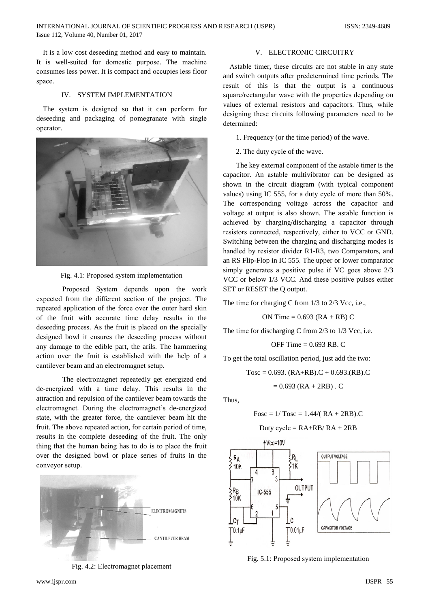It is a low cost deseeding method and easy to maintain. It is well-suited for domestic purpose. The machine consumes less power. It is compact and occupies less floor space.

# **IV. SYSTEM IMPLEMENTATION**

The system is designed so that it can perform for deseeding and packaging of pomegranate with single operator.



Fig. 4.1: Proposed system implementation

Proposed System depends upon the work expected from the different section of the project. The repeated application of the force over the outer hard skin of the fruit with accurate time delay results in the deseeding process. As the fruit is placed on the specially designed bowl it ensures the deseeding process without any damage to the edible part, the arils. The hammering action over the fruit is established with the help of a cantilever beam and an electromagnet setup.

The electromagnet repeatedly get energized end de-energized with a time delay. This results in the attraction and repulsion of the cantilever beam towards the electromagnet. During the electromagnet's de-energized state, with the greater force, the cantilever beam hit the fruit. The above repeated action, for certain period of time, results in the complete deseeding of the fruit. The only thing that the human being has to do is to place the fruit over the designed bowl or place series of fruits in the conveyor setup.



Fig. 4.2: Electromagnet placement

### V. ELECTRONIC CIRCUITRY

Astable timer, these circuits are not stable in any state and switch outputs after predetermined time periods. The result of this is that the output is a continuous square/rectangular wave with the properties depending on values of external resistors and capacitors. Thus, while designing these circuits following parameters need to be determined:

- 1. Frequency (or the time period) of the wave.
- 2. The duty cycle of the wave.

The key external component of the astable timer is the capacitor. An astable multivibrator can be designed as shown in the circuit diagram (with typical component values) using IC 555, for a duty cycle of more than 50%. The corresponding voltage across the capacitor and voltage at output is also shown. The astable function is achieved by charging/discharging a capacitor through resistors connected, respectively, either to VCC or GND. Switching between the charging and discharging modes is handled by resistor divider R1-R3, two Comparators, and an RS Flip-Flop in IC 555. The upper or lower comparator simply generates a positive pulse if VC goes above 2/3 VCC or below 1/3 VCC. And these positive pulses either SET or RESET the Q output.

The time for charging C from 1/3 to 2/3 Vcc, i.e.,

ON Time =  $0.693$  (RA + RB) C

The time for discharging C from 2/3 to 1/3 Vcc, i.e.

OFF Time = 
$$
0.693
$$
 RB. C

To get the total oscillation period, just add the two:

 $Tosc = 0.693$ .  $(RA+RB)$ .  $C + 0.693$ .  $(RB)$ .  $C = 0.693$ .  $(RB)$ .  $C = 0.693$ .  $(RB)$ .  $C = 0.693$ .  $(RB)$ .  $C = 0.693$ .  $(RB)$ .  $C = 0.693$ .  $(RB)$ .  $C = 0.693$ .  $(RB)$ .  $C = 0.693$ .  $(RB)$ .  $C = 0.693$ .  $(RB)$ .  $C = 0.693$ .  $(RB)$ .  $C = 0.693$  $= 0.693$  (RA + 2RB). C

Thus.

$$
Fosc = 1/\text{Tosc} = 1.44/(RA + 2RB).C
$$

$$
Duty cycle = RA + RB / RA + 2RB
$$



Fig. 5.1: Proposed system implementation